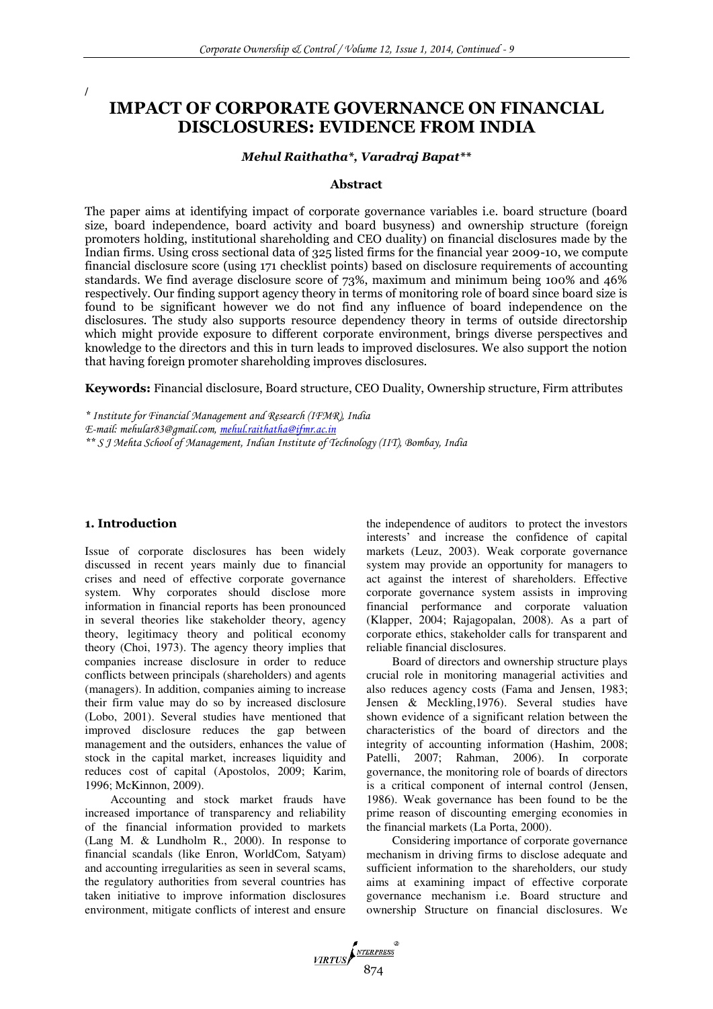**IMPACT OF CORPORATE GOVERNANCE ON FINANCIAL DISCLOSURES: EVIDENCE FROM INDIA** 

#### *Mehul Raithatha\*, Varadraj Bapat\*\**

#### **Abstract**

The paper aims at identifying impact of corporate governance variables i.e. board structure (board size, board independence, board activity and board busyness) and ownership structure (foreign promoters holding, institutional shareholding and CEO duality) on financial disclosures made by the Indian firms. Using cross sectional data of 325 listed firms for the financial year 2009-10, we compute financial disclosure score (using 171 checklist points) based on disclosure requirements of accounting standards. We find average disclosure score of 73%, maximum and minimum being 100% and 46% respectively. Our finding support agency theory in terms of monitoring role of board since board size is found to be significant however we do not find any influence of board independence on the disclosures. The study also supports resource dependency theory in terms of outside directorship which might provide exposure to different corporate environment, brings diverse perspectives and knowledge to the directors and this in turn leads to improved disclosures. We also support the notion that having foreign promoter shareholding improves disclosures.

**Keywords:** Financial disclosure, Board structure, CEO Duality, Ownership structure, Firm attributes

*\* Institute for Financial Management and Research (IFMR), India E-mail: mehular83@gmail.com, [mehul.raithatha@ifmr.ac.in](mailto:mehul.raithatha@ifmr.ac.in) \*\* S J Mehta School of Management, Indian Institute of Technology (IIT), Bombay, India* 

### **1. Introduction**

/

Issue of corporate disclosures has been widely discussed in recent years mainly due to financial crises and need of effective corporate governance system. Why corporates should disclose more information in financial reports has been pronounced in several theories like stakeholder theory, agency theory, legitimacy theory and political economy theory (Choi, 1973). The agency theory implies that companies increase disclosure in order to reduce conflicts between principals (shareholders) and agents (managers). In addition, companies aiming to increase their firm value may do so by increased disclosure (Lobo, 2001). Several studies have mentioned that improved disclosure reduces the gap between management and the outsiders, enhances the value of stock in the capital market, increases liquidity and reduces cost of capital (Apostolos, 2009; Karim, 1996; McKinnon, 2009).

Accounting and stock market frauds have increased importance of transparency and reliability of the financial information provided to markets (Lang M. & Lundholm R., 2000). In response to financial scandals (like Enron, WorldCom, Satyam) and accounting irregularities as seen in several scams, the regulatory authorities from several countries has taken initiative to improve information disclosures environment, mitigate conflicts of interest and ensure

the independence of auditors to protect the investors interests' and increase the confidence of capital markets (Leuz, 2003). Weak corporate governance system may provide an opportunity for managers to act against the interest of shareholders. Effective corporate governance system assists in improving financial performance and corporate valuation (Klapper, 2004; Rajagopalan, 2008). As a part of corporate ethics, stakeholder calls for transparent and reliable financial disclosures.

Board of directors and ownership structure plays crucial role in monitoring managerial activities and also reduces agency costs (Fama and Jensen, 1983; Jensen & Meckling,1976). Several studies have shown evidence of a significant relation between the characteristics of the board of directors and the integrity of accounting information (Hashim, 2008; Patelli, 2007; Rahman, 2006). In corporate governance, the monitoring role of boards of directors is a critical component of internal control (Jensen, 1986). Weak governance has been found to be the prime reason of discounting emerging economies in the financial markets (La Porta, 2000).

Considering importance of corporate governance mechanism in driving firms to disclose adequate and sufficient information to the shareholders, our study aims at examining impact of effective corporate governance mechanism i.e. Board structure and ownership Structure on financial disclosures. We

VIRTUS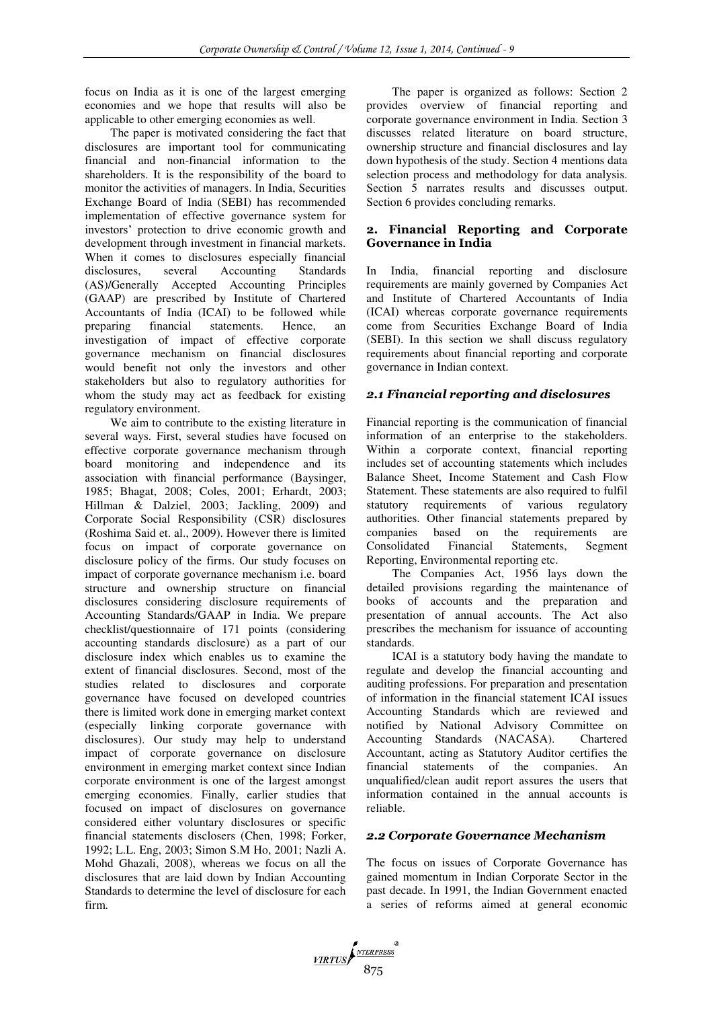focus on India as it is one of the largest emerging economies and we hope that results will also be applicable to other emerging economies as well.

The paper is motivated considering the fact that disclosures are important tool for communicating financial and non-financial information to the shareholders. It is the responsibility of the board to monitor the activities of managers. In India, Securities Exchange Board of India (SEBI) has recommended implementation of effective governance system for investors' protection to drive economic growth and development through investment in financial markets. When it comes to disclosures especially financial disclosures, several Accounting Standards (AS)/Generally Accepted Accounting Principles (GAAP) are prescribed by Institute of Chartered Accountants of India (ICAI) to be followed while preparing financial statements. Hence, an investigation of impact of effective corporate governance mechanism on financial disclosures would benefit not only the investors and other stakeholders but also to regulatory authorities for whom the study may act as feedback for existing regulatory environment.

We aim to contribute to the existing literature in several ways. First, several studies have focused on effective corporate governance mechanism through board monitoring and independence and its association with financial performance (Baysinger, 1985; Bhagat, 2008; Coles, 2001; Erhardt, 2003; Hillman & Dalziel, 2003; Jackling, 2009) and Corporate Social Responsibility (CSR) disclosures (Roshima Said et. al., 2009). However there is limited focus on impact of corporate governance on disclosure policy of the firms. Our study focuses on impact of corporate governance mechanism i.e. board structure and ownership structure on financial disclosures considering disclosure requirements of Accounting Standards/GAAP in India. We prepare checklist/questionnaire of 171 points (considering accounting standards disclosure) as a part of our disclosure index which enables us to examine the extent of financial disclosures. Second, most of the studies related to disclosures and corporate governance have focused on developed countries there is limited work done in emerging market context (especially linking corporate governance with disclosures). Our study may help to understand impact of corporate governance on disclosure environment in emerging market context since Indian corporate environment is one of the largest amongst emerging economies. Finally, earlier studies that focused on impact of disclosures on governance considered either voluntary disclosures or specific financial statements disclosers (Chen, 1998; Forker, 1992; L.L. Eng, 2003; Simon S.M Ho, 2001; Nazli A. Mohd Ghazali, 2008), whereas we focus on all the disclosures that are laid down by Indian Accounting Standards to determine the level of disclosure for each firm.

The paper is organized as follows: Section 2 provides overview of financial reporting and corporate governance environment in India. Section 3 discusses related literature on board structure, ownership structure and financial disclosures and lay down hypothesis of the study. Section 4 mentions data selection process and methodology for data analysis. Section 5 narrates results and discusses output. Section 6 provides concluding remarks.

## **2. Financial Reporting and Corporate Governance in India**

In India, financial reporting and disclosure requirements are mainly governed by Companies Act and Institute of Chartered Accountants of India (ICAI) whereas corporate governance requirements come from Securities Exchange Board of India (SEBI). In this section we shall discuss regulatory requirements about financial reporting and corporate governance in Indian context.

# *2.1 Financial reporting and disclosures*

Financial reporting is the communication of financial information of an enterprise to the stakeholders. Within a corporate context, financial reporting includes set of accounting statements which includes Balance Sheet, Income Statement and Cash Flow Statement. These statements are also required to fulfil statutory requirements of various regulatory authorities. Other financial statements prepared by companies based on the requirements are<br>Consolidated Financial Statements. Segment Statements, Segment Reporting, Environmental reporting etc.

The Companies Act, 1956 lays down the detailed provisions regarding the maintenance of books of accounts and the preparation and presentation of annual accounts. The Act also prescribes the mechanism for issuance of accounting standards.

ICAI is a statutory body having the mandate to regulate and develop the financial accounting and auditing professions. For preparation and presentation of information in the financial statement ICAI issues Accounting Standards which are reviewed and notified by National Advisory Committee on Accounting Standards (NACASA). Chartered Accountant, acting as Statutory Auditor certifies the financial statements of the companies. An unqualified/clean audit report assures the users that information contained in the annual accounts is reliable.

## *2.2 Corporate Governance Mechanism*

The focus on issues of Corporate Governance has gained momentum in Indian Corporate Sector in the past decade. In 1991, the Indian Government enacted a series of reforms aimed at general economic

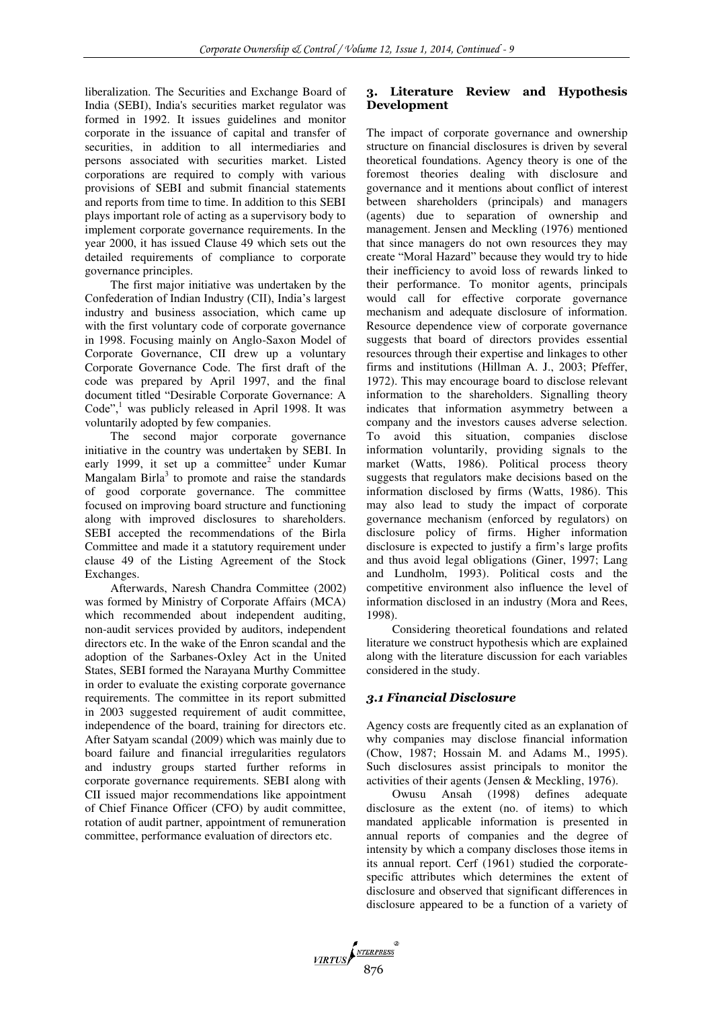liberalization. The Securities and Exchange Board of India (SEBI), India's securities market regulator was formed in 1992. It issues guidelines and monitor corporate in the issuance of capital and transfer of securities, in addition to all intermediaries and persons associated with securities market. Listed corporations are required to comply with various provisions of SEBI and submit financial statements and reports from time to time. In addition to this SEBI plays important role of acting as a supervisory body to implement corporate governance requirements. In the year 2000, it has issued Clause 49 which sets out the detailed requirements of compliance to corporate governance principles.

The first major initiative was undertaken by the Confederation of Indian Industry (CII), India's largest industry and business association, which came up with the first voluntary code of corporate governance in 1998. Focusing mainly on Anglo-Saxon Model of Corporate Governance, CII drew up a voluntary Corporate Governance Code. The first draft of the code was prepared by April 1997, and the final document titled "Desirable Corporate Governance: A Code",<sup>1</sup> was publicly released in April 1998. It was voluntarily adopted by few companies.

The second major corporate governance initiative in the country was undertaken by SEBI. In early 1999, it set up a committee<sup>2</sup> under Kumar Mangalam Birla<sup>3</sup> to promote and raise the standards of good corporate governance. The committee focused on improving board structure and functioning along with improved disclosures to shareholders. SEBI accepted the recommendations of the Birla Committee and made it a statutory requirement under clause 49 of the Listing Agreement of the Stock Exchanges.

Afterwards, Naresh Chandra Committee (2002) was formed by Ministry of Corporate Affairs (MCA) which recommended about independent auditing, non-audit services provided by auditors, independent directors etc. In the wake of the Enron scandal and the adoption of the Sarbanes-Oxley Act in the United States, SEBI formed the Narayana Murthy Committee in order to evaluate the existing corporate governance requirements. The committee in its report submitted in 2003 suggested requirement of audit committee, independence of the board, training for directors etc. After Satyam scandal (2009) which was mainly due to board failure and financial irregularities regulators and industry groups started further reforms in corporate governance requirements. SEBI along with CII issued major recommendations like appointment of Chief Finance Officer (CFO) by audit committee, rotation of audit partner, appointment of remuneration committee, performance evaluation of directors etc.

# **3. Literature Review and Hypothesis Development**

The impact of corporate governance and ownership structure on financial disclosures is driven by several theoretical foundations. Agency theory is one of the foremost theories dealing with disclosure and governance and it mentions about conflict of interest between shareholders (principals) and managers (agents) due to separation of ownership and management. Jensen and Meckling (1976) mentioned that since managers do not own resources they may create "Moral Hazard" because they would try to hide their inefficiency to avoid loss of rewards linked to their performance. To monitor agents, principals would call for effective corporate governance mechanism and adequate disclosure of information. Resource dependence view of corporate governance suggests that board of directors provides essential resources through their expertise and linkages to other firms and institutions (Hillman A. J., 2003; Pfeffer, 1972). This may encourage board to disclose relevant information to the shareholders. Signalling theory indicates that information asymmetry between a company and the investors causes adverse selection. To avoid this situation, companies disclose information voluntarily, providing signals to the market (Watts, 1986). Political process theory suggests that regulators make decisions based on the information disclosed by firms (Watts, 1986). This may also lead to study the impact of corporate governance mechanism (enforced by regulators) on disclosure policy of firms. Higher information disclosure is expected to justify a firm's large profits and thus avoid legal obligations (Giner, 1997; Lang and Lundholm, 1993). Political costs and the competitive environment also influence the level of information disclosed in an industry (Mora and Rees, 1998).

Considering theoretical foundations and related literature we construct hypothesis which are explained along with the literature discussion for each variables considered in the study.

## *3.1 Financial Disclosure*

Agency costs are frequently cited as an explanation of why companies may disclose financial information (Chow, 1987; Hossain M. and Adams M., 1995). Such disclosures assist principals to monitor the activities of their agents (Jensen & Meckling, 1976).

Owusu Ansah (1998) defines adequate disclosure as the extent (no. of items) to which mandated applicable information is presented in annual reports of companies and the degree of intensity by which a company discloses those items in its annual report. Cerf (1961) studied the corporatespecific attributes which determines the extent of disclosure and observed that significant differences in disclosure appeared to be a function of a variety of

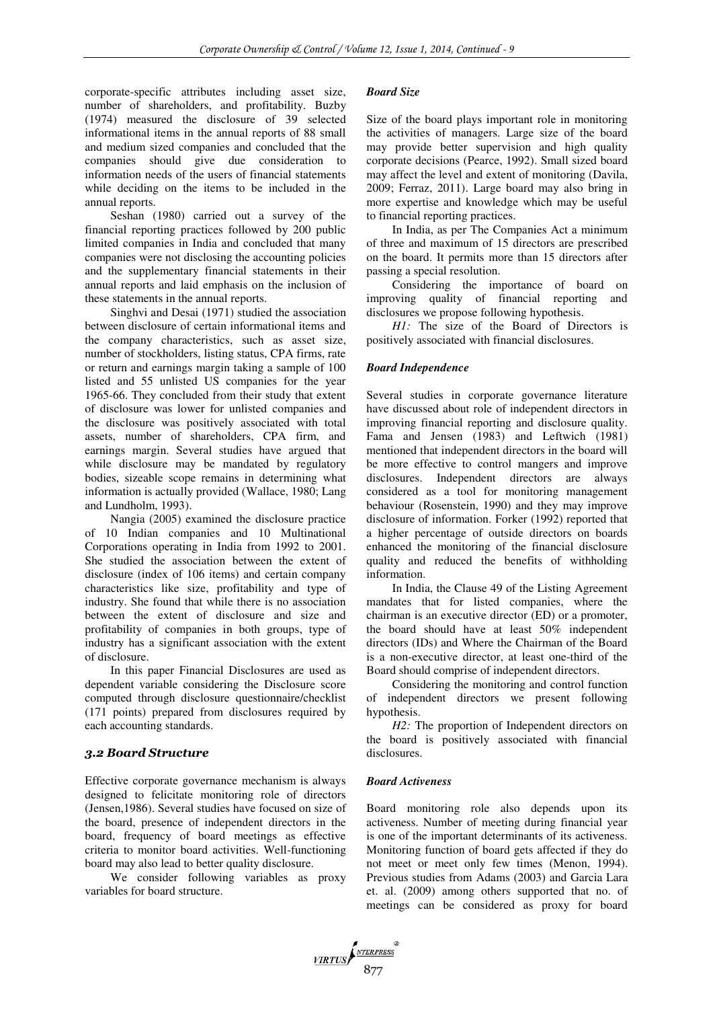corporate-specific attributes including asset size, number of shareholders, and profitability. Buzby (1974) measured the disclosure of 39 selected informational items in the annual reports of 88 small and medium sized companies and concluded that the companies should give due consideration to information needs of the users of financial statements while deciding on the items to be included in the annual reports.

Seshan (1980) carried out a survey of the financial reporting practices followed by 200 public limited companies in India and concluded that many companies were not disclosing the accounting policies and the supplementary financial statements in their annual reports and laid emphasis on the inclusion of these statements in the annual reports.

Singhvi and Desai (1971) studied the association between disclosure of certain informational items and the company characteristics, such as asset size, number of stockholders, listing status, CPA firms, rate or return and earnings margin taking a sample of 100 listed and 55 unlisted US companies for the year 1965-66. They concluded from their study that extent of disclosure was lower for unlisted companies and the disclosure was positively associated with total assets, number of shareholders, CPA firm, and earnings margin. Several studies have argued that while disclosure may be mandated by regulatory bodies, sizeable scope remains in determining what information is actually provided (Wallace, 1980; Lang and Lundholm, 1993).

Nangia (2005) examined the disclosure practice of 10 Indian companies and 10 Multinational Corporations operating in India from 1992 to 2001. She studied the association between the extent of disclosure (index of 106 items) and certain company characteristics like size, profitability and type of industry. She found that while there is no association between the extent of disclosure and size and profitability of companies in both groups, type of industry has a significant association with the extent of disclosure.

In this paper Financial Disclosures are used as dependent variable considering the Disclosure score computed through disclosure questionnaire/checklist (171 points) prepared from disclosures required by each accounting standards.

## *3.2 Board Structure*

Effective corporate governance mechanism is always designed to felicitate monitoring role of directors (Jensen,1986). Several studies have focused on size of the board, presence of independent directors in the board, frequency of board meetings as effective criteria to monitor board activities. Well-functioning board may also lead to better quality disclosure.

We consider following variables as proxy variables for board structure.

#### *Board Size*

Size of the board plays important role in monitoring the activities of managers. Large size of the board may provide better supervision and high quality corporate decisions (Pearce, 1992). Small sized board may affect the level and extent of monitoring (Davila, 2009; Ferraz, 2011). Large board may also bring in more expertise and knowledge which may be useful to financial reporting practices.

In India, as per The Companies Act a minimum of three and maximum of 15 directors are prescribed on the board. It permits more than 15 directors after passing a special resolution.

Considering the importance of board on improving quality of financial reporting and disclosures we propose following hypothesis.

*H1:* The size of the Board of Directors is positively associated with financial disclosures.

#### *Board Independence*

Several studies in corporate governance literature have discussed about role of independent directors in improving financial reporting and disclosure quality. Fama and Jensen (1983) and Leftwich (1981) mentioned that independent directors in the board will be more effective to control mangers and improve disclosures. Independent directors are always considered as a tool for monitoring management behaviour (Rosenstein, 1990) and they may improve disclosure of information. Forker (1992) reported that a higher percentage of outside directors on boards enhanced the monitoring of the financial disclosure quality and reduced the benefits of withholding information.

In India, the Clause 49 of the Listing Agreement mandates that for listed companies, where the chairman is an executive director (ED) or a promoter, the board should have at least 50% independent directors (IDs) and Where the Chairman of the Board is a non-executive director, at least one-third of the Board should comprise of independent directors.

Considering the monitoring and control function of independent directors we present following hypothesis.

*H2:* The proportion of Independent directors on the board is positively associated with financial disclosures.

### *Board Activeness*

Board monitoring role also depends upon its activeness. Number of meeting during financial year is one of the important determinants of its activeness. Monitoring function of board gets affected if they do not meet or meet only few times (Menon, 1994). Previous studies from Adams (2003) and Garcia Lara et. al. (2009) among others supported that no. of meetings can be considered as proxy for board

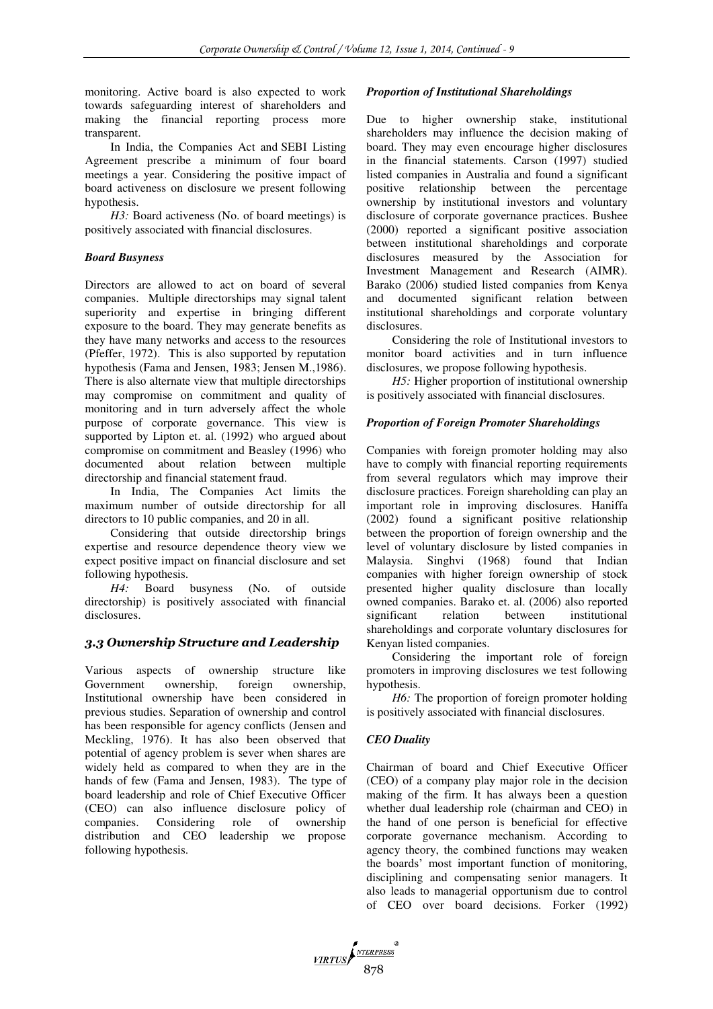monitoring. Active board is also expected to work towards safeguarding interest of shareholders and making the financial reporting process more transparent.

In India, the Companies Act and SEBI Listing Agreement prescribe a minimum of four board meetings a year. Considering the positive impact of board activeness on disclosure we present following hypothesis.

*H3:* Board activeness (No. of board meetings) is positively associated with financial disclosures.

### *Board Busyness*

Directors are allowed to act on board of several companies. Multiple directorships may signal talent superiority and expertise in bringing different exposure to the board. They may generate benefits as they have many networks and access to the resources (Pfeffer, 1972). This is also supported by reputation hypothesis (Fama and Jensen, 1983; Jensen M.,1986). There is also alternate view that multiple directorships may compromise on commitment and quality of monitoring and in turn adversely affect the whole purpose of corporate governance. This view is supported by Lipton et. al. (1992) who argued about compromise on commitment and Beasley (1996) who documented about relation between multiple directorship and financial statement fraud.

In India, The Companies Act limits the maximum number of outside directorship for all directors to 10 public companies, and 20 in all.

Considering that outside directorship brings expertise and resource dependence theory view we expect positive impact on financial disclosure and set following hypothesis.

*H4:* Board busyness (No. of outside directorship) is positively associated with financial disclosures.

## *3.3 Ownership Structure and Leadership*

Various aspects of ownership structure like Government ownership, foreign ownership, Institutional ownership have been considered in previous studies. Separation of ownership and control has been responsible for agency conflicts (Jensen and Meckling, 1976). It has also been observed that potential of agency problem is sever when shares are widely held as compared to when they are in the hands of few (Fama and Jensen, 1983). The type of board leadership and role of Chief Executive Officer (CEO) can also influence disclosure policy of of ownership distribution and CEO leadership we propose following hypothesis.

### *Proportion of Institutional Shareholdings*

Due to higher ownership stake, institutional shareholders may influence the decision making of board. They may even encourage higher disclosures in the financial statements. Carson (1997) studied listed companies in Australia and found a significant positive relationship between the percentage ownership by institutional investors and voluntary disclosure of corporate governance practices. Bushee (2000) reported a significant positive association between institutional shareholdings and corporate disclosures measured by the Association for Investment Management and Research (AIMR). Barako (2006) studied listed companies from Kenya and documented significant relation between institutional shareholdings and corporate voluntary disclosures.

Considering the role of Institutional investors to monitor board activities and in turn influence disclosures, we propose following hypothesis.

*H5:* Higher proportion of institutional ownership is positively associated with financial disclosures.

### *Proportion of Foreign Promoter Shareholdings*

Companies with foreign promoter holding may also have to comply with financial reporting requirements from several regulators which may improve their disclosure practices. Foreign shareholding can play an important role in improving disclosures. Haniffa (2002) found a significant positive relationship between the proportion of foreign ownership and the level of voluntary disclosure by listed companies in Malaysia. Singhvi (1968) found that Indian companies with higher foreign ownership of stock presented higher quality disclosure than locally owned companies. Barako et. al. (2006) also reported significant relation between institutional shareholdings and corporate voluntary disclosures for Kenyan listed companies.

Considering the important role of foreign promoters in improving disclosures we test following hypothesis.

*H6:* The proportion of foreign promoter holding is positively associated with financial disclosures.

## *CEO Duality*

Chairman of board and Chief Executive Officer (CEO) of a company play major role in the decision making of the firm. It has always been a question whether dual leadership role (chairman and CEO) in the hand of one person is beneficial for effective corporate governance mechanism. According to agency theory, the combined functions may weaken the boards' most important function of monitoring, disciplining and compensating senior managers. It also leads to managerial opportunism due to control of CEO over board decisions. Forker (1992)

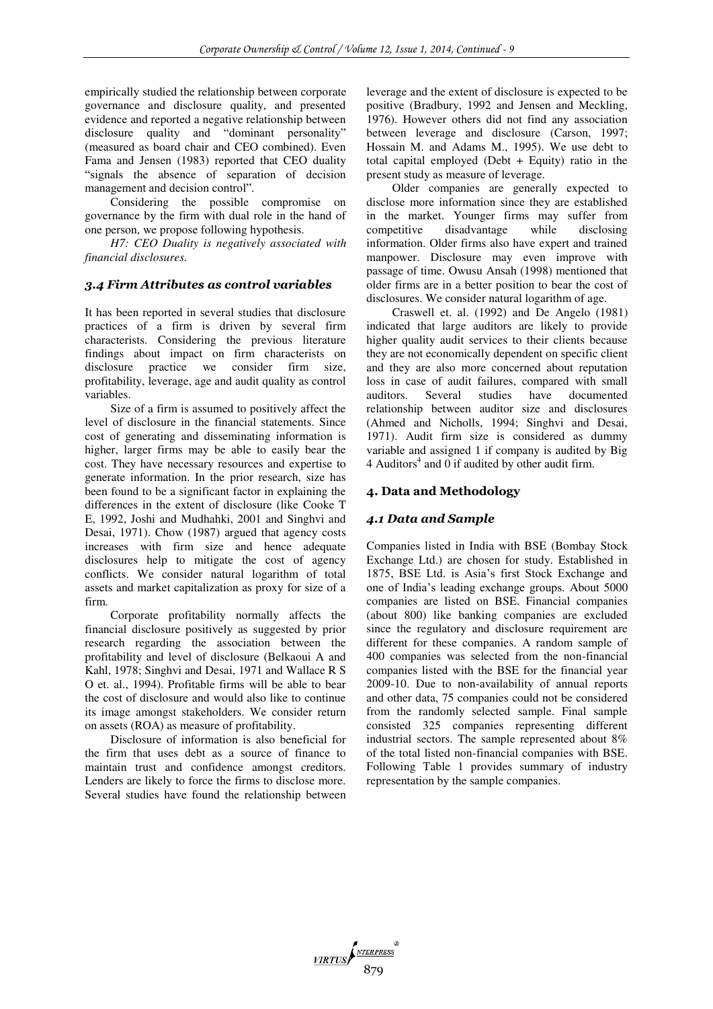empirically studied the relationship between corporate governance and disclosure quality, and presented evidence and reported a negative relationship between disclosure quality and "dominant personality" (measured as board chair and CEO combined). Even Fama and Jensen (1983) reported that CEO duality "signals the absence of separation of decision management and decision control".

Considering the possible compromise on governance by the firm with dual role in the hand of one person, we propose following hypothesis.

*H7: CEO Duality is negatively associated with financial disclosures.*

## *3.4 Firm Attributes as control variables*

It has been reported in several studies that disclosure practices of a firm is driven by several firm characterists. Considering the previous literature findings about impact on firm characterists on disclosure practice we consider firm size, profitability, leverage, age and audit quality as control variables.

Size of a firm is assumed to positively affect the level of disclosure in the financial statements. Since cost of generating and disseminating information is higher, larger firms may be able to easily bear the cost. They have necessary resources and expertise to generate information. In the prior research, size has been found to be a significant factor in explaining the differences in the extent of disclosure (like Cooke T E, 1992, Joshi and Mudhahki, 2001 and Singhvi and Desai, 1971). Chow (1987) argued that agency costs increases with firm size and hence adequate disclosures help to mitigate the cost of agency conflicts. We consider natural logarithm of total assets and market capitalization as proxy for size of a firm.

Corporate profitability normally affects the financial disclosure positively as suggested by prior research regarding the association between the profitability and level of disclosure (Belkaoui A and Kahl, 1978; Singhvi and Desai, 1971 and Wallace R S O et. al., 1994). Profitable firms will be able to bear the cost of disclosure and would also like to continue its image amongst stakeholders. We consider return on assets (ROA) as measure of profitability.

Disclosure of information is also beneficial for the firm that uses debt as a source of finance to maintain trust and confidence amongst creditors. Lenders are likely to force the firms to disclose more. Several studies have found the relationship between leverage and the extent of disclosure is expected to be positive (Bradbury, 1992 and Jensen and Meckling, 1976). However others did not find any association between leverage and disclosure (Carson, 1997; Hossain M. and Adams M., 1995). We use debt to total capital employed (Debt + Equity) ratio in the present study as measure of leverage.

Older companies are generally expected to disclose more information since they are established in the market. Younger firms may suffer from competitive disadvantage while disclosing information. Older firms also have expert and trained manpower. Disclosure may even improve with passage of time. Owusu Ansah (1998) mentioned that older firms are in a better position to bear the cost of disclosures. We consider natural logarithm of age.

Craswell et. al. (1992) and De Angelo (1981) indicated that large auditors are likely to provide higher quality audit services to their clients because they are not economically dependent on specific client and they are also more concerned about reputation loss in case of audit failures, compared with small auditors. Several studies have documented relationship between auditor size and disclosures (Ahmed and Nicholls, 1994; Singhvi and Desai, 1971). Audit firm size is considered as dummy variable and assigned 1 if company is audited by Big  $4$  Auditors<sup>4</sup> and  $0$  if audited by other audit firm.

## **4. Data and Methodology**

## *4.1 Data and Sample*

Companies listed in India with BSE (Bombay Stock Exchange Ltd.) are chosen for study. Established in 1875, BSE Ltd. is Asia's first Stock Exchange and one of India's leading exchange groups. About 5000 companies are listed on BSE. Financial companies (about 800) like banking companies are excluded since the regulatory and disclosure requirement are different for these companies. A random sample of 400 companies was selected from the non-financial companies listed with the BSE for the financial year 2009-10. Due to non-availability of annual reports and other data, 75 companies could not be considered from the randomly selected sample. Final sample consisted 325 companies representing different industrial sectors. The sample represented about 8% of the total listed non-financial companies with BSE. Following Table 1 provides summary of industry representation by the sample companies.

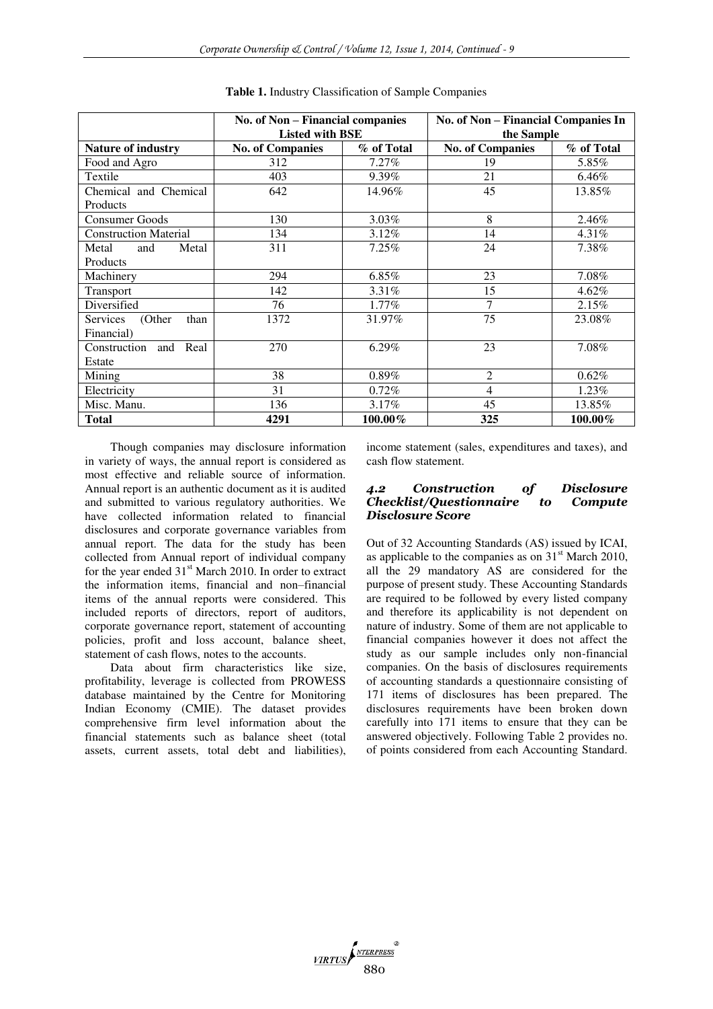|                              | No. of Non - Financial companies<br><b>Listed with BSE</b> |            | No. of Non - Financial Companies In<br>the Sample |            |  |  |
|------------------------------|------------------------------------------------------------|------------|---------------------------------------------------|------------|--|--|
| <b>Nature of industry</b>    | <b>No. of Companies</b>                                    | % of Total | <b>No. of Companies</b>                           | % of Total |  |  |
| Food and Agro                | 312                                                        | 7.27%      | 19                                                | 5.85%      |  |  |
| Textile                      | 403                                                        | $9.39\%$   | 21                                                | $6.46\%$   |  |  |
| Chemical and Chemical        | 642                                                        | 14.96%     | 45                                                | 13.85%     |  |  |
| Products                     |                                                            |            |                                                   |            |  |  |
| <b>Consumer Goods</b>        | 130                                                        | $3.03\%$   | 8                                                 | 2.46%      |  |  |
| <b>Construction Material</b> | 134                                                        | 3.12%      | 14                                                | $4.31\%$   |  |  |
| Metal<br>Metal<br>and        | 311                                                        | 7.25%      | 24                                                | 7.38%      |  |  |
| Products                     |                                                            |            |                                                   |            |  |  |
| Machinery                    | 294                                                        | $6.85\%$   | 23                                                | 7.08%      |  |  |
| Transport                    | 142                                                        | $3.31\%$   | 15                                                | $4.62\%$   |  |  |
| Diversified                  | 76                                                         | $1.77\%$   | 7                                                 | 2.15%      |  |  |
| Services<br>(Other<br>than   | 1372                                                       | 31.97%     | 75                                                | 23.08%     |  |  |
| Financial)                   |                                                            |            |                                                   |            |  |  |
| Construction<br>and Real     | 270                                                        | $6.29\%$   | 23                                                | 7.08%      |  |  |
| Estate                       |                                                            |            |                                                   |            |  |  |
| Mining                       | 38                                                         | $0.89\%$   | $\overline{2}$                                    | $0.62\%$   |  |  |
| Electricity                  | 31                                                         | $0.72\%$   | 4                                                 | 1.23%      |  |  |
| Misc. Manu.                  | 136                                                        | $3.17\%$   | 45                                                | 13.85%     |  |  |
| Total                        | 4291                                                       | 100.00%    | 325                                               | $100.00\%$ |  |  |

**Table 1.** Industry Classification of Sample Companies

Though companies may disclosure information in variety of ways, the annual report is considered as most effective and reliable source of information. Annual report is an authentic document as it is audited and submitted to various regulatory authorities. We have collected information related to financial disclosures and corporate governance variables from annual report. The data for the study has been collected from Annual report of individual company for the year ended  $31<sup>st</sup>$  March 2010. In order to extract the information items, financial and non–financial items of the annual reports were considered. This included reports of directors, report of auditors, corporate governance report, statement of accounting policies, profit and loss account, balance sheet, statement of cash flows, notes to the accounts.

Data about firm characteristics like size, profitability, leverage is collected from PROWESS database maintained by the Centre for Monitoring Indian Economy (CMIE). The dataset provides comprehensive firm level information about the financial statements such as balance sheet (total assets, current assets, total debt and liabilities),

income statement (sales, expenditures and taxes), and cash flow statement.

#### *4.2 Construction of Disclosure Checklist/Questionnaire to Compute Disclosure Score*

Out of 32 Accounting Standards (AS) issued by ICAI, as applicable to the companies as on  $31<sup>st</sup>$  March 2010, all the 29 mandatory AS are considered for the purpose of present study. These Accounting Standards are required to be followed by every listed company and therefore its applicability is not dependent on nature of industry. Some of them are not applicable to financial companies however it does not affect the study as our sample includes only non-financial companies. On the basis of disclosures requirements of accounting standards a questionnaire consisting of 171 items of disclosures has been prepared. The disclosures requirements have been broken down carefully into 171 items to ensure that they can be answered objectively. Following Table 2 provides no. of points considered from each Accounting Standard.

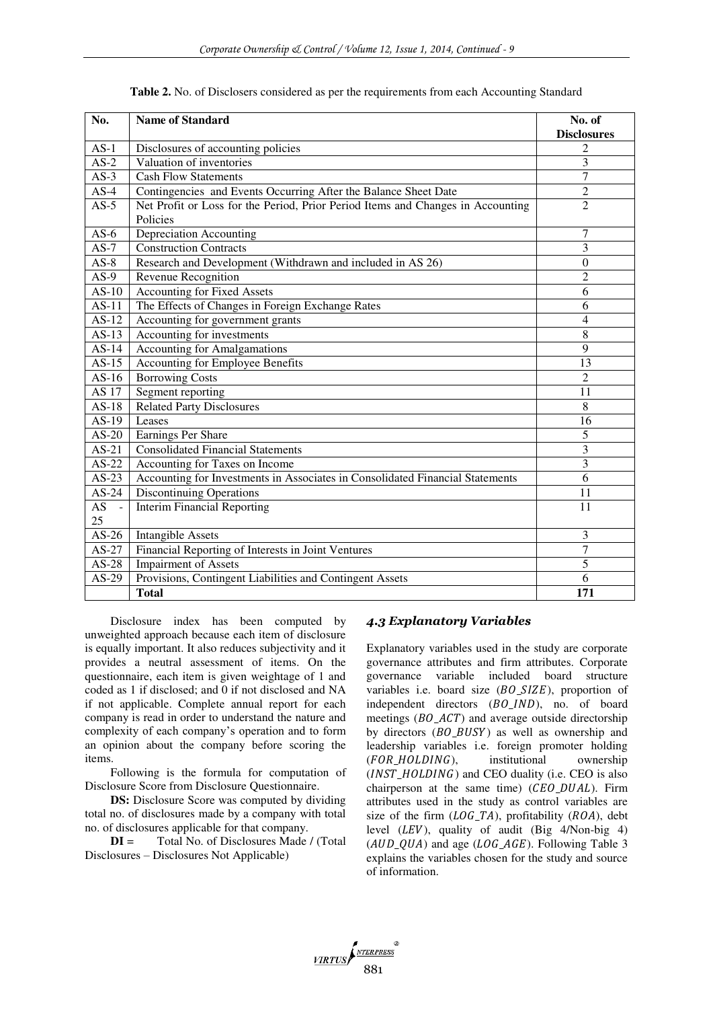| No.                | <b>Name of Standard</b>                                                         | No. of<br><b>Disclosures</b> |
|--------------------|---------------------------------------------------------------------------------|------------------------------|
| $AS-1$             | Disclosures of accounting policies                                              | $\mathfrak{2}$               |
| $AS-2$             | Valuation of inventories                                                        | 3                            |
| $AS-3$             | <b>Cash Flow Statements</b>                                                     | $\overline{7}$               |
| $AS-4$             | Contingencies and Events Occurring After the Balance Sheet Date                 | $\overline{2}$               |
| $AS-5$             | Net Profit or Loss for the Period, Prior Period Items and Changes in Accounting | $\overline{2}$               |
|                    | Policies                                                                        |                              |
| $AS-6$             | Depreciation Accounting                                                         | 7                            |
| $AS-7$             | <b>Construction Contracts</b>                                                   | 3                            |
| $AS-8$             | Research and Development (Withdrawn and included in AS 26)                      | $\boldsymbol{0}$             |
| $AS-9$             | Revenue Recognition                                                             | $\overline{2}$               |
| $AS-10$            | <b>Accounting for Fixed Assets</b>                                              | 6                            |
| $AS-11$            | The Effects of Changes in Foreign Exchange Rates                                | 6                            |
| $AS-12$            | Accounting for government grants                                                | $\overline{4}$               |
| $AS-13$            | Accounting for investments                                                      | $\overline{8}$               |
| $\overline{A}S-14$ | <b>Accounting for Amalgamations</b>                                             | $\overline{9}$               |
| $AS-15$            | Accounting for Employee Benefits                                                | 13                           |
| $AS-16$            | <b>Borrowing Costs</b>                                                          | $\overline{2}$               |
| <b>AS</b> 17       | Segment reporting                                                               | 11                           |
| $AS-18$            | <b>Related Party Disclosures</b>                                                | 8                            |
| $AS-19$            | Leases                                                                          | 16                           |
| $AS-20$            | <b>Earnings Per Share</b>                                                       | 5                            |
| $AS-21$            | <b>Consolidated Financial Statements</b>                                        | $\overline{3}$               |
| $AS-22$            | Accounting for Taxes on Income                                                  | 3                            |
| $AS-23$            | Accounting for Investments in Associates in Consolidated Financial Statements   | $\overline{6}$               |
| $AS-24$            | <b>Discontinuing Operations</b>                                                 | 11                           |
| $AS -$             | <b>Interim Financial Reporting</b>                                              | 11                           |
| 25                 |                                                                                 |                              |
| $AS-26$            | <b>Intangible Assets</b>                                                        | 3                            |
| $AS-27$            | Financial Reporting of Interests in Joint Ventures                              | $\tau$                       |
| $AS-28$            | <b>Impairment of Assets</b>                                                     | 5                            |
| $AS-29$            | Provisions, Contingent Liabilities and Contingent Assets                        | $\overline{6}$               |
|                    | <b>Total</b>                                                                    | 171                          |

**Table 2.** No. of Disclosers considered as per the requirements from each Accounting Standard

Disclosure index has been computed by unweighted approach because each item of disclosure is equally important. It also reduces subjectivity and it provides a neutral assessment of items. On the questionnaire, each item is given weightage of 1 and coded as 1 if disclosed; and 0 if not disclosed and NA if not applicable. Complete annual report for each company is read in order to understand the nature and complexity of each company's operation and to form an opinion about the company before scoring the items.

Following is the formula for computation of Disclosure Score from Disclosure Questionnaire.

**DS:** Disclosure Score was computed by dividing total no. of disclosures made by a company with total no. of disclosures applicable for that company.

**DI** = Total No. of Disclosures Made / (Total Disclosures – Disclosures Not Applicable)

### *4.3 Explanatory Variables*

Explanatory variables used in the study are corporate governance attributes and firm attributes. Corporate governance variable included board structure variables i.e. board size  $(BO, SIZE)$ , proportion of independent directors  $(BO_{{\scriptscriptstyle \perp}}/ND)$ , no. of board meetings  $(BO\_ACT)$  and average outside directorship by directors  $(BO_BUSY)$  as well as ownership and leadership variables i.e. foreign promoter holding  $(FOR_HOLDING)$ , institutional ownership  $(INST HOLDING)$  and CEO duality (i.e. CEO is also chairperson at the same time)  $(CEO_DUAL)$ . Firm attributes used in the study as control variables are size of the firm  $(LOG\_TA)$ , profitability ( $ROA$ ), debt level  $(LEV)$ , quality of audit (Big 4/Non-big 4)  $(AUD_QUA)$  and age  $(LOG_AGE)$ . Following Table 3 explains the variables chosen for the study and source of information.

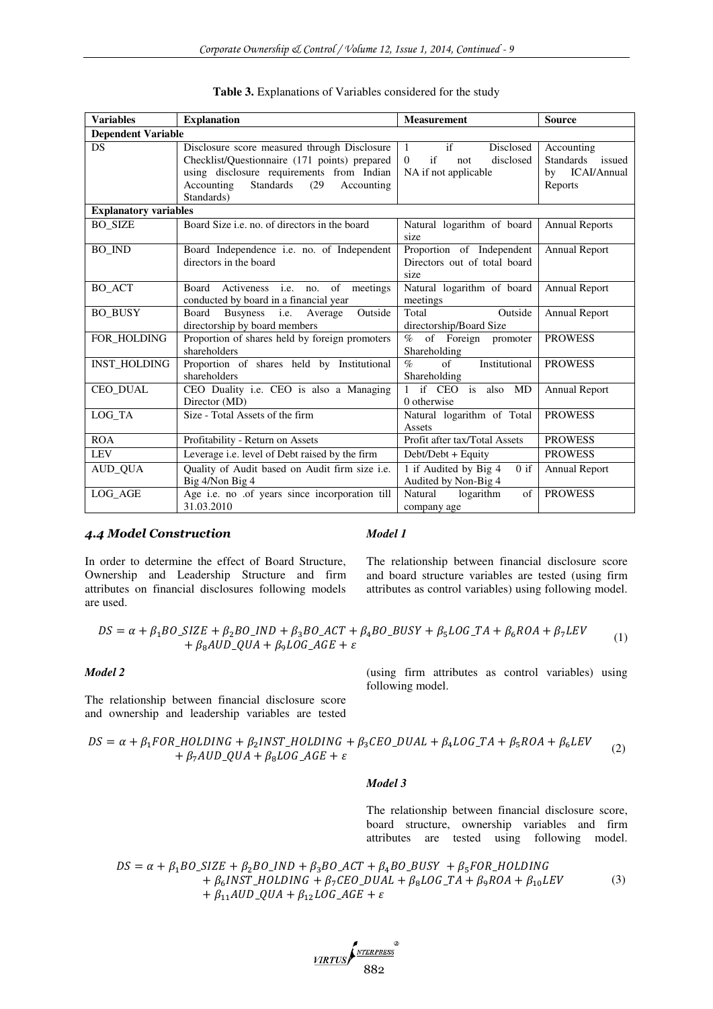| <b>Variables</b>             | <b>Explanation</b>                                                                                                                                                                                        | <b>Measurement</b>                                                                            | <b>Source</b>                                                  |
|------------------------------|-----------------------------------------------------------------------------------------------------------------------------------------------------------------------------------------------------------|-----------------------------------------------------------------------------------------------|----------------------------------------------------------------|
| <b>Dependent Variable</b>    |                                                                                                                                                                                                           |                                                                                               |                                                                |
| <b>DS</b>                    | Disclosure score measured through Disclosure<br>Checklist/Questionnaire (171 points) prepared<br>using disclosure requirements from Indian<br>Standards<br>Accounting<br>(29)<br>Accounting<br>Standards) | if<br>Disclosed<br>$\mathbf{1}$<br>$\Omega$<br>if<br>disclosed<br>not<br>NA if not applicable | Accounting<br>Standards issued<br>ICAI/Annual<br>by<br>Reports |
| <b>Explanatory variables</b> |                                                                                                                                                                                                           |                                                                                               |                                                                |
| <b>BO SIZE</b>               | Board Size <i>i.e.</i> no. of directors in the board                                                                                                                                                      | Natural logarithm of board<br>size                                                            | <b>Annual Reports</b>                                          |
| <b>BO IND</b>                | Board Independence <i>i.e.</i> no. of Independent<br>directors in the board                                                                                                                               | Proportion of Independent<br>Directors out of total board<br>size                             | Annual Report                                                  |
| <b>BO ACT</b>                | Activeness i.e. no. of meetings<br>Board<br>conducted by board in a financial year                                                                                                                        | Natural logarithm of board<br>meetings                                                        | Annual Report                                                  |
| <b>BO_BUSY</b>               | Outside<br>Busyness <i>i.e.</i> Average<br>Board<br>directorship by board members                                                                                                                         | Outside<br>Total<br>directorship/Board Size                                                   | <b>Annual Report</b>                                           |
| FOR HOLDING                  | Proportion of shares held by foreign promoters<br>shareholders                                                                                                                                            | $\%$<br>of Foreign promoter<br>Shareholding                                                   | <b>PROWESS</b>                                                 |
| <b>INST HOLDING</b>          | Proportion of shares held by Institutional<br>shareholders                                                                                                                                                | $\sigma$ f<br>Institutional<br>$\mathcal{O}_0$<br>Shareholding                                | <b>PROWESS</b>                                                 |
| <b>CEO DUAL</b>              | CEO Duality i.e. CEO is also a Managing<br>Director (MD)                                                                                                                                                  | 1 if CEO is also MD<br>0 otherwise                                                            | <b>Annual Report</b>                                           |
| LOG TA                       | Size - Total Assets of the firm                                                                                                                                                                           | Natural logarithm of Total<br>Assets                                                          | <b>PROWESS</b>                                                 |
| <b>ROA</b>                   | Profitability - Return on Assets                                                                                                                                                                          | Profit after tax/Total Assets                                                                 | <b>PROWESS</b>                                                 |
| <b>LEV</b>                   | Leverage i.e. level of Debt raised by the firm                                                                                                                                                            | Debt/Debt + Equity                                                                            | <b>PROWESS</b>                                                 |
| AUD OUA                      | Quality of Audit based on Audit firm size i.e.<br>Big 4/Non Big 4                                                                                                                                         | 1 if Audited by Big 4<br>$0$ if<br>Audited by Non-Big 4                                       | Annual Report                                                  |
| LOG AGE                      | Age i.e. no .of years since incorporation till<br>31.03.2010                                                                                                                                              | Natural<br>logarithm<br>of<br>company age                                                     | <b>PROWESS</b>                                                 |

|  |  |  | Table 3. Explanations of Variables considered for the study |  |  |
|--|--|--|-------------------------------------------------------------|--|--|
|  |  |  |                                                             |  |  |

## *4.4 Model Construction*

In order to determine the effect of Board Structure, Ownership and Leadership Structure and firm attributes on financial disclosures following models are used.

*Model 1* 

The relationship between financial disclosure score and board structure variables are tested (using firm attributes as control variables) using following model.

$$
DS = \alpha + \beta_1 BO\_SIZE + \beta_2 BO\_IND + \beta_3 BO\_ACT + \beta_4 BO\_BUSY + \beta_5 LOG\_TA + \beta_6 ROA + \beta_7 LEV + \beta_8 AUD\_QUA + \beta_9 LOG\_AGE + \varepsilon
$$
 (1)

#### *Model 2*

The relationship between financial disclosure score and ownership and leadership variables are tested (using firm attributes as control variables) using following model.

$$
DS = \alpha + \beta_1 FOR\_HOLDING + \beta_2 INST\_HOLDING + \beta_3 CEO\_DUAL + \beta_4 LOG\_TA + \beta_5 ROA + \beta_6 LEV + \beta_7 AUD\_QUA + \beta_8 LOG\_AGE + \varepsilon
$$
\n(2)

#### *Model 3*

The relationship between financial disclosure score, board structure, ownership variables and firm attributes are tested using following model.

 $DS = \alpha + \beta_1 BO\_SIZE + \beta_2 BO\_IND + \beta_3 BO\_ACT + \beta_4 BO\_BUSY + \beta_5 FOR\_HOLDING$  $+ \beta_6$ INST\_HOLDING  $+ \beta_7$ CEO\_DUAL  $+ \beta_8$ LOG\_TA  $+ \beta_9$ ROA  $+ \beta_{10}$ LEV +  $\beta_{11}$ AUD\_QUA +  $\beta_{12}$ LOG\_AGE +  $\varepsilon$ (3)

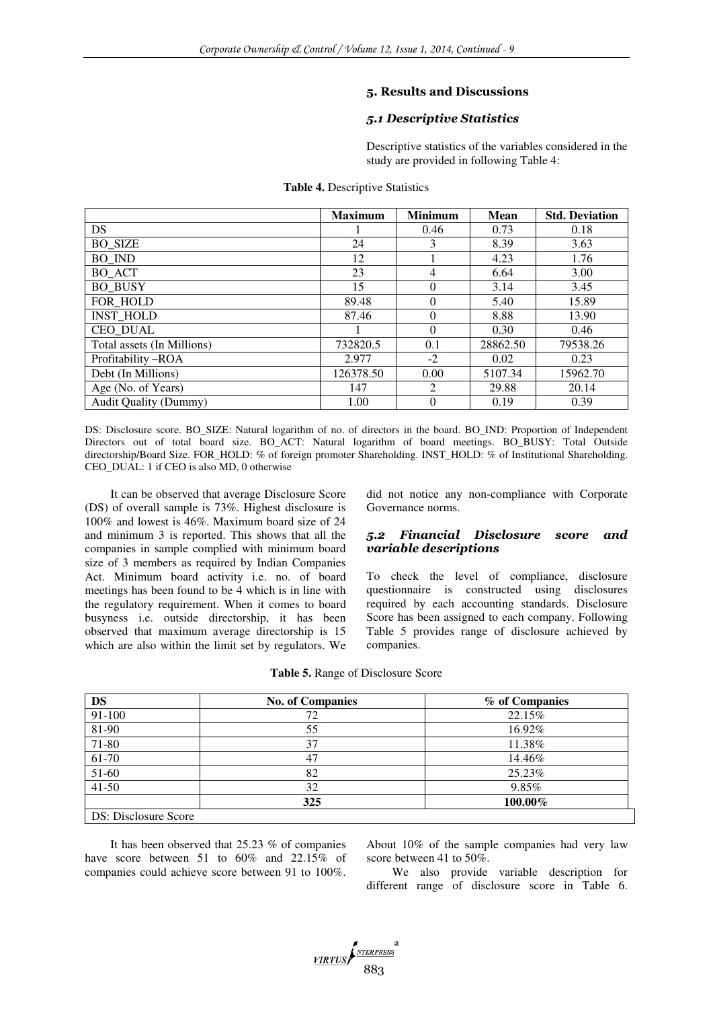## **5. Results and Discussions**

## *5.1 Descriptive Statistics*

Descriptive statistics of the variables considered in the study are provided in following Table 4:

|                              | <b>Maximum</b> | <b>Minimum</b> | <b>Mean</b> | <b>Std. Deviation</b> |
|------------------------------|----------------|----------------|-------------|-----------------------|
| <b>DS</b>                    |                | 0.46           | 0.73        | 0.18                  |
| <b>BO SIZE</b>               | 24             | 3              | 8.39        | 3.63                  |
| <b>BO IND</b>                | 12             |                | 4.23        | 1.76                  |
| BO ACT                       | 23             | 4              | 6.64        | 3.00                  |
| <b>BO BUSY</b>               | 15             | $\Omega$       | 3.14        | 3.45                  |
| FOR HOLD                     | 89.48          | $\Omega$       | 5.40        | 15.89                 |
| <b>INST HOLD</b>             | 87.46          | $\Omega$       | 8.88        | 13.90                 |
| <b>CEO DUAL</b>              |                | $\Omega$       | 0.30        | 0.46                  |
| Total assets (In Millions)   | 732820.5       | 0.1            | 28862.50    | 79538.26              |
| Profitability-ROA            | 2.977          | $-2$           | 0.02        | 0.23                  |
| Debt (In Millions)           | 126378.50      | 0.00           | 5107.34     | 15962.70              |
| Age (No. of Years)           | 147            | 2              | 29.88       | 20.14                 |
| <b>Audit Quality (Dummy)</b> | 1.00           | $\Omega$       | 0.19        | 0.39                  |

#### **Table 4.** Descriptive Statistics

DS: Disclosure score. BO\_SIZE: Natural logarithm of no. of directors in the board. BO\_IND: Proportion of Independent Directors out of total board size. BO\_ACT: Natural logarithm of board meetings. BO\_BUSY: Total Outside directorship/Board Size. FOR\_HOLD: % of foreign promoter Shareholding. INST\_HOLD: % of Institutional Shareholding. CEO\_DUAL: 1 if CEO is also MD, 0 otherwise

It can be observed that average Disclosure Score (DS) of overall sample is 73%. Highest disclosure is 100% and lowest is 46%. Maximum board size of 24 and minimum 3 is reported. This shows that all the companies in sample complied with minimum board size of 3 members as required by Indian Companies Act. Minimum board activity i.e. no. of board meetings has been found to be 4 which is in line with the regulatory requirement. When it comes to board busyness i.e. outside directorship, it has been observed that maximum average directorship is 15 which are also within the limit set by regulators. We

did not notice any non-compliance with Corporate Governance norms.

## *5.2 Financial Disclosure score and variable descriptions*

To check the level of compliance, disclosure questionnaire is constructed using disclosures required by each accounting standards. Disclosure Score has been assigned to each company. Following Table 5 provides range of disclosure achieved by companies.

| <b>DS</b>                   | <b>No. of Companies</b> | % of Companies |
|-----------------------------|-------------------------|----------------|
| 91-100                      | 72                      | 22.15%         |
| 81-90                       | 55                      | 16.92%         |
| 71-80                       | 37                      | 11.38%         |
| 61-70                       | 47                      | 14.46%         |
| 51-60                       | 82                      | 25.23%         |
| $41 - 50$                   | 32                      | 9.85%          |
|                             | 325                     | 100.00%        |
| <b>DS: Disclosure Score</b> |                         |                |

#### **Table 5.** Range of Disclosure Score

It has been observed that 25.23 % of companies have score between 51 to 60% and 22.15% of companies could achieve score between 91 to 100%.

About 10% of the sample companies had very law score between 41 to 50%.

We also provide variable description for different range of disclosure score in Table 6.

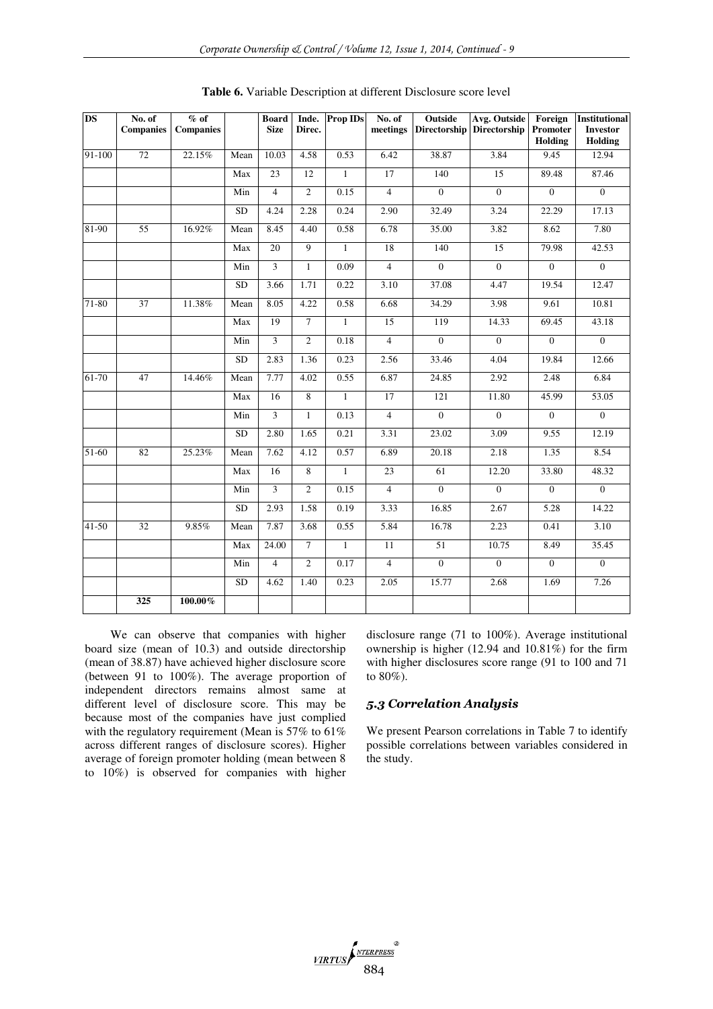| <b>DS</b> | No. of<br><b>Companies</b> | $%$ of<br><b>Companies</b> |           | <b>Board</b><br><b>Size</b> | Direc.         | Inde. Prop IDs | No. of<br>meetings | Outside          | <b>Avg. Outside</b><br>Directorship Directorship | Foreign<br>Promoter<br>Holding | <b>Institutional</b><br><b>Investor</b><br>Holding |
|-----------|----------------------------|----------------------------|-----------|-----------------------------|----------------|----------------|--------------------|------------------|--------------------------------------------------|--------------------------------|----------------------------------------------------|
| 91-100    | 72                         | 22.15%                     | Mean      | 10.03                       | 4.58           | 0.53           | 6.42               | 38.87            | 3.84                                             | 9.45                           | 12.94                                              |
|           |                            |                            | Max       | 23                          | 12             | $\mathbf{1}$   | 17                 | 140              | $\overline{15}$                                  | 89.48                          | 87.46                                              |
|           |                            |                            | Min       | $\overline{4}$              | $\overline{2}$ | 0.15           | $\overline{4}$     | $\overline{0}$   | $\overline{0}$                                   | $\overline{0}$                 | $\overline{0}$                                     |
|           |                            |                            | SD        | 4.24                        | 2.28           | 0.24           | 2.90               | 32.49            | 3.24                                             | 22.29                          | 17.13                                              |
| 81-90     | 55                         | 16.92%                     | Mean      | 8.45                        | 4.40           | 0.58           | 6.78               | 35.00            | 3.82                                             | 8.62                           | 7.80                                               |
|           |                            |                            | Max       | 20                          | $\overline{9}$ | $\mathbf{1}$   | 18                 | 140              | $\overline{15}$                                  | 79.98                          | 42.53                                              |
|           |                            |                            | Min       | 3                           | $\mathbf{1}$   | 0.09           | $\overline{4}$     | $\overline{0}$   | $\mathbf{0}$                                     | $\boldsymbol{0}$               | $\mathbf{0}$                                       |
|           |                            |                            | <b>SD</b> | 3.66                        | 1.71           | 0.22           | 3.10               | 37.08            | 4.47                                             | 19.54                          | 12.47                                              |
| 71-80     | $\overline{37}$            | 11.38%                     | Mean      | 8.05                        | 4.22           | 0.58           | 6.68               | 34.29            | 3.98                                             | 9.61                           | 10.81                                              |
|           |                            |                            | Max       | 19                          | $\tau$         | $\mathbf{1}$   | 15                 | 119              | 14.33                                            | $\overline{69.45}$             | 43.18                                              |
|           |                            |                            | Min       | $\overline{3}$              | $\overline{2}$ | 0.18           | $\overline{4}$     | $\overline{0}$   | $\overline{0}$                                   | $\overline{0}$                 | $\overline{0}$                                     |
|           |                            |                            | <b>SD</b> | 2.83                        | 1.36           | 0.23           | 2.56               | 33.46            | 4.04                                             | 19.84                          | 12.66                                              |
| 61-70     | 47                         | 14.46%                     | Mean      | 7.77                        | 4.02           | 0.55           | 6.87               | 24.85            | 2.92                                             | 2.48                           | 6.84                                               |
|           |                            |                            | Max       | $\overline{16}$             | $\overline{8}$ | $\mathbf{1}$   | 17                 | 121              | 11.80                                            | 45.99                          | 53.05                                              |
|           |                            |                            | Min       | 3                           | $\mathbf{1}$   | 0.13           | $\overline{4}$     | $\overline{0}$   | $\overline{0}$                                   | $\overline{0}$                 | $\overline{0}$                                     |
|           |                            |                            | <b>SD</b> | 2.80                        | 1.65           | 0.21           | 3.31               | 23.02            | 3.09                                             | 9.55                           | 12.19                                              |
| $51 - 60$ | 82                         | 25.23%                     | Mean      | 7.62                        | 4.12           | 0.57           | 6.89               | 20.18            | 2.18                                             | 1.35                           | 8.54                                               |
|           |                            |                            | Max       | 16                          | 8              | $\mathbf{1}$   | 23                 | 61               | 12.20                                            | 33.80                          | 48.32                                              |
|           |                            |                            | Min       | 3                           | $\overline{2}$ | 0.15           | $\overline{4}$     | $\overline{0}$   | $\overline{0}$                                   | $\overline{0}$                 | $\overline{0}$                                     |
|           |                            |                            | <b>SD</b> | 2.93                        | 1.58           | 0.19           | $3.\overline{3}3$  | 16.85            | 2.67                                             | 5.28                           | 14.22                                              |
| $41-50$   | $\overline{32}$            | 9.85%                      | Mean      | 7.87                        | 3.68           | 0.55           | 5.84               | 16.78            | 2.23                                             | 0.41                           | 3.10                                               |
|           |                            |                            | Max       | 24.00                       | $\overline{7}$ | $\mathbf{1}$   | $\overline{11}$    | $\overline{51}$  | 10.75                                            | 8.49                           | 35.45                                              |
|           |                            |                            | Min       | $\overline{4}$              | $\overline{2}$ | 0.17           | $\overline{4}$     | $\boldsymbol{0}$ | $\mathbf{0}$                                     | $\boldsymbol{0}$               | $\boldsymbol{0}$                                   |
|           |                            |                            | <b>SD</b> | 4.62                        | 1.40           | 0.23           | 2.05               | 15.77            | 2.68                                             | 1.69                           | 7.26                                               |
|           | 325                        | 100.00%                    |           |                             |                |                |                    |                  |                                                  |                                |                                                    |

**Table 6.** Variable Description at different Disclosure score level

We can observe that companies with higher board size (mean of 10.3) and outside directorship (mean of 38.87) have achieved higher disclosure score (between 91 to 100%). The average proportion of independent directors remains almost same at different level of disclosure score. This may be because most of the companies have just complied with the regulatory requirement (Mean is 57% to 61% across different ranges of disclosure scores). Higher average of foreign promoter holding (mean between 8 to 10%) is observed for companies with higher

disclosure range (71 to 100%). Average institutional ownership is higher  $(12.94 \text{ and } 10.81\%)$  for the firm with higher disclosures score range (91 to 100 and 71 to 80%).

## *5.3 Correlation Analysis*

We present Pearson correlations in Table 7 to identify possible correlations between variables considered in the study.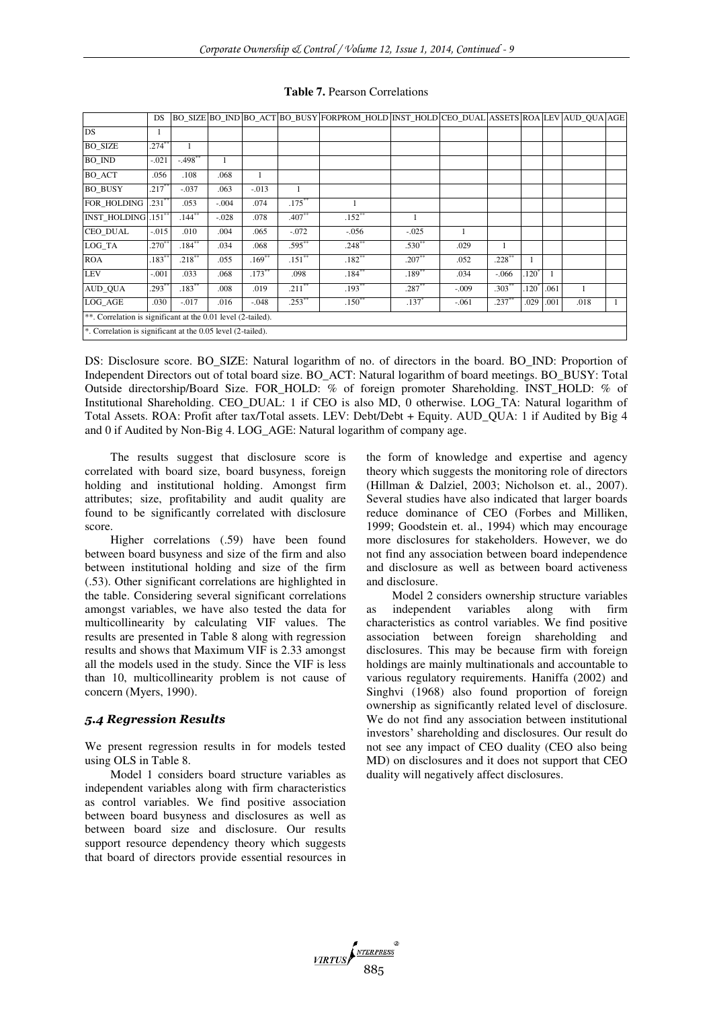|                                                              | <b>DS</b>  |                      |         |           |           | BO_SIZE BO_IND BO_ACT BO_BUSY FORPROM_HOLD INST_HOLD CEO_DUAL ASSETS ROA LEV AUD_QUA AGE |             |         |           |               |      |      |  |
|--------------------------------------------------------------|------------|----------------------|---------|-----------|-----------|------------------------------------------------------------------------------------------|-------------|---------|-----------|---------------|------|------|--|
| <b>DS</b>                                                    |            |                      |         |           |           |                                                                                          |             |         |           |               |      |      |  |
| <b>BO SIZE</b>                                               | $.274***$  |                      |         |           |           |                                                                                          |             |         |           |               |      |      |  |
| <b>BO_IND</b>                                                | $-.021$    | $-498**$             | 1       |           |           |                                                                                          |             |         |           |               |      |      |  |
| <b>BO ACT</b>                                                | .056       | .108                 | .068    | 1         |           |                                                                                          |             |         |           |               |      |      |  |
| <b>BO BUSY</b>                                               | $.217$ **  | $-.037$              | .063    | $-.013$   |           |                                                                                          |             |         |           |               |      |      |  |
| FOR HOLDING                                                  | .231"      | .053                 | $-.004$ | .074      | $.175***$ |                                                                                          |             |         |           |               |      |      |  |
| <b>INST HOLDING</b>                                          | $.151^{*}$ | $.144$ <sup>**</sup> | $-.028$ | .078      | $.407*$   | $.152$ **                                                                                | -1          |         |           |               |      |      |  |
| <b>CEO DUAL</b>                                              | $-.015$    | .010                 | .004    | .065      | $-.072$   | $-.056$                                                                                  | $-.025$     |         |           |               |      |      |  |
| LOG_TA                                                       | $.270*$    | $.184^{**}$          | .034    | .068      | $.595***$ | .248                                                                                     | $.530^{**}$ | .029    |           |               |      |      |  |
| <b>ROA</b>                                                   | $183^{**}$ | $.218***$            | .055    | $.169**$  | $.151***$ | $.182^{**}$                                                                              | $.207***$   | .052    | $.228***$ | 1             |      |      |  |
| <b>LEV</b>                                                   | $-.001$    | .033                 | .068    | $.173***$ | .098      | $.184***$                                                                                | $.189***$   | .034    | $-.066$   | $120^{\circ}$ |      |      |  |
| AUD_QUA                                                      | $.293*$    | $.183***$            | .008    | .019      | $.211***$ | $.193***$                                                                                | $.287***$   | $-.009$ | $.303**$  | $120^{3}$     | .061 |      |  |
| LOG_AGE                                                      | .030       | $-.017$              | .016    | $-.048$   | $.253***$ | $.150^{**}$                                                                              | $.137*$     | $-.061$ | $.237**$  | .029          | .001 | .018 |  |
| **. Correlation is significant at the 0.01 level (2-tailed). |            |                      |         |           |           |                                                                                          |             |         |           |               |      |      |  |
| *. Correlation is significant at the 0.05 level (2-tailed).  |            |                      |         |           |           |                                                                                          |             |         |           |               |      |      |  |

#### **Table 7.** Pearson Correlations

DS: Disclosure score. BO\_SIZE: Natural logarithm of no. of directors in the board. BO\_IND: Proportion of Independent Directors out of total board size. BO\_ACT: Natural logarithm of board meetings. BO\_BUSY: Total Outside directorship/Board Size. FOR\_HOLD: % of foreign promoter Shareholding. INST\_HOLD: % of Institutional Shareholding. CEO\_DUAL: 1 if CEO is also MD, 0 otherwise. LOG\_TA: Natural logarithm of Total Assets. ROA: Profit after tax/Total assets. LEV: Debt/Debt + Equity. AUD\_QUA: 1 if Audited by Big 4 and 0 if Audited by Non-Big 4. LOG\_AGE: Natural logarithm of company age.

The results suggest that disclosure score is correlated with board size, board busyness, foreign holding and institutional holding. Amongst firm attributes; size, profitability and audit quality are found to be significantly correlated with disclosure score.

Higher correlations (.59) have been found between board busyness and size of the firm and also between institutional holding and size of the firm (.53). Other significant correlations are highlighted in the table. Considering several significant correlations amongst variables, we have also tested the data for multicollinearity by calculating VIF values. The results are presented in Table 8 along with regression results and shows that Maximum VIF is 2.33 amongst all the models used in the study. Since the VIF is less than 10, multicollinearity problem is not cause of concern (Myers, 1990).

#### *5.4 Regression Results*

We present regression results in for models tested using OLS in Table 8.

Model 1 considers board structure variables as independent variables along with firm characteristics as control variables. We find positive association between board busyness and disclosures as well as between board size and disclosure. Our results support resource dependency theory which suggests that board of directors provide essential resources in the form of knowledge and expertise and agency theory which suggests the monitoring role of directors (Hillman & Dalziel, 2003; Nicholson et. al., 2007). Several studies have also indicated that larger boards reduce dominance of CEO (Forbes and Milliken, 1999; Goodstein et. al., 1994) which may encourage more disclosures for stakeholders. However, we do not find any association between board independence and disclosure as well as between board activeness and disclosure.

Model 2 considers ownership structure variables as independent variables along with firm characteristics as control variables. We find positive association between foreign shareholding and disclosures. This may be because firm with foreign holdings are mainly multinationals and accountable to various regulatory requirements. Haniffa (2002) and Singhvi (1968) also found proportion of foreign ownership as significantly related level of disclosure. We do not find any association between institutional investors' shareholding and disclosures. Our result do not see any impact of CEO duality (CEO also being MD) on disclosures and it does not support that CEO duality will negatively affect disclosures.

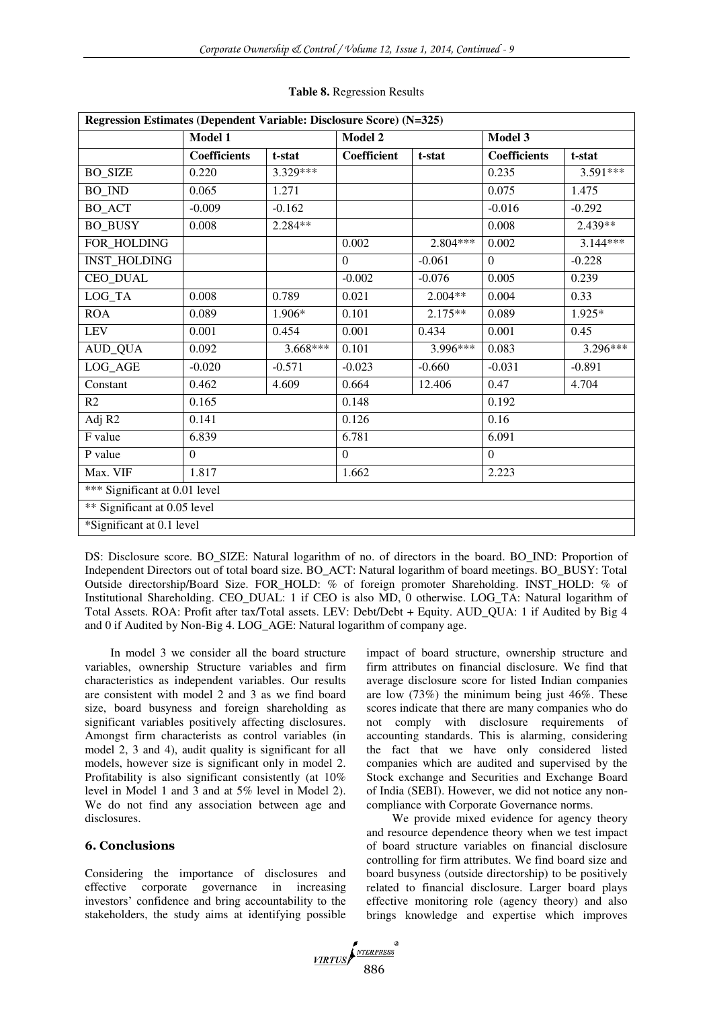| Regression Estimates (Dependent Variable: Disclosure Score) (N=325) |                               |            |                    |            |                     |            |  |  |  |
|---------------------------------------------------------------------|-------------------------------|------------|--------------------|------------|---------------------|------------|--|--|--|
|                                                                     | Model 1                       |            | Model 2            |            | Model 3             |            |  |  |  |
|                                                                     | <b>Coefficients</b><br>t-stat |            | <b>Coefficient</b> | t-stat     | <b>Coefficients</b> | t-stat     |  |  |  |
| <b>BO_SIZE</b>                                                      | 0.220                         | $3.329***$ |                    |            | 0.235               | $3.591***$ |  |  |  |
| <b>BO_IND</b>                                                       | 0.065                         | 1.271      |                    |            | 0.075               | 1.475      |  |  |  |
| <b>BO_ACT</b>                                                       | $-0.009$                      | $-0.162$   |                    |            | $-0.016$            | $-0.292$   |  |  |  |
| <b>BO_BUSY</b>                                                      | 0.008                         | 2.284**    |                    |            | 0.008               | 2.439**    |  |  |  |
| FOR_HOLDING                                                         |                               |            | 0.002              | $2.804***$ | 0.002               | $3.144***$ |  |  |  |
| <b>INST_HOLDING</b>                                                 |                               |            | $\theta$           | $-0.061$   | $\Omega$            | $-0.228$   |  |  |  |
| CEO_DUAL                                                            |                               |            | $-0.002$           | $-0.076$   | 0.005               | 0.239      |  |  |  |
| LOG_TA                                                              | 0.008                         | 0.789      | 0.021              | $2.004**$  | 0.004               | 0.33       |  |  |  |
| <b>ROA</b>                                                          | 0.089                         | 1.906*     | 0.101              | $2.175**$  | 0.089               | 1.925*     |  |  |  |
| <b>LEV</b>                                                          | 0.001                         | 0.454      | 0.001              | 0.434      | 0.001               | 0.45       |  |  |  |
| <b>AUD_QUA</b>                                                      | 0.092                         | $3.668***$ | 0.101              | 3.996***   | 0.083               | $3.296***$ |  |  |  |
| LOG_AGE                                                             | $-0.020$                      | $-0.571$   | $-0.023$           | $-0.660$   | $-0.031$            | $-0.891$   |  |  |  |
| Constant                                                            | 0.462                         | 4.609      | 0.664              | 12.406     | 0.47                | 4.704      |  |  |  |
| R <sub>2</sub>                                                      | 0.165                         |            | 0.148              |            | 0.192               |            |  |  |  |
| Adj R2                                                              | 0.141                         |            | 0.126              |            | 0.16                |            |  |  |  |
| F value                                                             | 6.839                         |            | 6.781              |            | 6.091               |            |  |  |  |
| P value                                                             | $\Omega$                      |            | $\Omega$           |            | $\Omega$            |            |  |  |  |
| Max. VIF                                                            | 1.817                         |            | 1.662              |            | 2.223               |            |  |  |  |
| *** Significant at 0.01 level                                       |                               |            |                    |            |                     |            |  |  |  |
| ** Significant at 0.05 level                                        |                               |            |                    |            |                     |            |  |  |  |
| *Significant at 0.1 level                                           |                               |            |                    |            |                     |            |  |  |  |

#### **Table 8.** Regression Results

DS: Disclosure score. BO\_SIZE: Natural logarithm of no. of directors in the board. BO\_IND: Proportion of Independent Directors out of total board size. BO\_ACT: Natural logarithm of board meetings. BO\_BUSY: Total Outside directorship/Board Size. FOR\_HOLD: % of foreign promoter Shareholding. INST\_HOLD: % of Institutional Shareholding. CEO\_DUAL: 1 if CEO is also MD, 0 otherwise. LOG\_TA: Natural logarithm of Total Assets. ROA: Profit after tax/Total assets. LEV: Debt/Debt + Equity. AUD\_QUA: 1 if Audited by Big 4 and 0 if Audited by Non-Big 4. LOG\_AGE: Natural logarithm of company age.

In model 3 we consider all the board structure variables, ownership Structure variables and firm characteristics as independent variables. Our results are consistent with model 2 and 3 as we find board size, board busyness and foreign shareholding as significant variables positively affecting disclosures. Amongst firm characterists as control variables (in model 2, 3 and 4), audit quality is significant for all models, however size is significant only in model 2. Profitability is also significant consistently (at 10% level in Model 1 and 3 and at 5% level in Model 2). We do not find any association between age and disclosures.

## **6. Conclusions**

Considering the importance of disclosures and effective corporate governance in increasing investors' confidence and bring accountability to the stakeholders, the study aims at identifying possible impact of board structure, ownership structure and firm attributes on financial disclosure. We find that average disclosure score for listed Indian companies are low (73%) the minimum being just 46%. These scores indicate that there are many companies who do not comply with disclosure requirements of accounting standards. This is alarming, considering the fact that we have only considered listed companies which are audited and supervised by the Stock exchange and Securities and Exchange Board of India (SEBI). However, we did not notice any noncompliance with Corporate Governance norms.

We provide mixed evidence for agency theory and resource dependence theory when we test impact of board structure variables on financial disclosure controlling for firm attributes. We find board size and board busyness (outside directorship) to be positively related to financial disclosure. Larger board plays effective monitoring role (agency theory) and also brings knowledge and expertise which improves

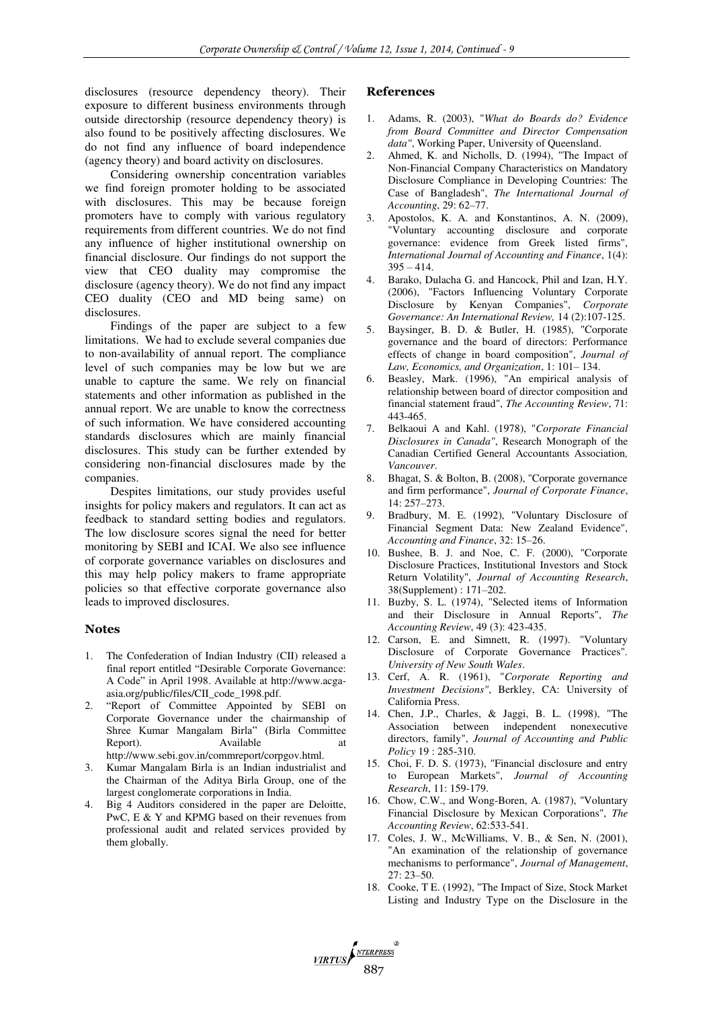disclosures (resource dependency theory). Their exposure to different business environments through outside directorship (resource dependency theory) is also found to be positively affecting disclosures. We do not find any influence of board independence (agency theory) and board activity on disclosures.

Considering ownership concentration variables we find foreign promoter holding to be associated with disclosures. This may be because foreign promoters have to comply with various regulatory requirements from different countries. We do not find any influence of higher institutional ownership on financial disclosure. Our findings do not support the view that CEO duality may compromise the disclosure (agency theory). We do not find any impact CEO duality (CEO and MD being same) on disclosures.

Findings of the paper are subject to a few limitations. We had to exclude several companies due to non-availability of annual report. The compliance level of such companies may be low but we are unable to capture the same. We rely on financial statements and other information as published in the annual report. We are unable to know the correctness of such information. We have considered accounting standards disclosures which are mainly financial disclosures. This study can be further extended by considering non-financial disclosures made by the companies.

Despites limitations, our study provides useful insights for policy makers and regulators. It can act as feedback to standard setting bodies and regulators. The low disclosure scores signal the need for better monitoring by SEBI and ICAI. We also see influence of corporate governance variables on disclosures and this may help policy makers to frame appropriate policies so that effective corporate governance also leads to improved disclosures.

#### **Notes**

- 1. The Confederation of Indian Industry (CII) released a final report entitled "Desirable Corporate Governance: A Code" in April 1998. Available at http://www.acgaasia.org/public/files/CII\_code\_1998.pdf.
- 2. "Report of Committee Appointed by SEBI on Corporate Governance under the chairmanship of Shree Kumar Mangalam Birla" (Birla Committee Report). Available at http://www.sebi.gov.in/commreport/corpgov.html.
- 3. Kumar Mangalam Birla is an Indian industrialist and the Chairman of the Aditya Birla Group, one of the largest conglomerate corporations in India.
- 4. Big 4 Auditors considered in the paper are Deloitte, PwC, E & Y and KPMG based on their revenues from professional audit and related services provided by them globally.

#### **References**

- 1. Adams, R. (2003), "*What do Boards do? Evidence from Board Committee and Director Compensation data"*, Working Paper, University of Queensland.
- 2. Ahmed, K. and Nicholls, D. (1994), "The Impact of Non-Financial Company Characteristics on Mandatory Disclosure Compliance in Developing Countries: The Case of Bangladesh", *The International Journal of Accounting*, 29: 62–77.
- 3. Apostolos, K. A. and Konstantinos, A. N. (2009), "Voluntary accounting disclosure and corporate governance: evidence from Greek listed firms", *International Journal of Accounting and Finance*, 1(4):  $395 - 414$ .
- 4. Barako, Dulacha G. and Hancock, Phil and Izan, H.Y. (2006), "Factors Influencing Voluntary Corporate Disclosure by Kenyan Companies", *Corporate Governance: An International Review,* 14 (2):107-125.
- 5. Baysinger, B. D. & Butler, H. (1985), "Corporate governance and the board of directors: Performance effects of change in board composition", *Journal of Law, Economics, and Organization*, 1: 101– 134.
- 6. Beasley, Mark. (1996), "An empirical analysis of relationship between board of director composition and financial statement fraud", *The Accounting Review*, 71: 443-465.
- 7. Belkaoui A and Kahl. (1978), "*Corporate Financial Disclosures in Canada"*, Research Monograph of the Canadian Certified General Accountants Association*, Vancouver*.
- 8. Bhagat, S. & Bolton, B. (2008), "Corporate governance and firm performance", *Journal of Corporate Finance*, 14: 257–273.
- 9. Bradbury, M. E. (1992), "Voluntary Disclosure of Financial Segment Data: New Zealand Evidence", *Accounting and Finance*, 32: 15–26.
- 10. Bushee, B. J. and Noe, C. F. (2000), "Corporate Disclosure Practices, Institutional Investors and Stock Return Volatility", *Journal of Accounting Research*, 38(Supplement) : 171–202.
- 11. Buzby, S. L. (1974), "Selected items of Information and their Disclosure in Annual Reports", *The Accounting Review*, 49 (3): 423-435.
- 12. Carson, E. and Simnett, R. (1997). "Voluntary Disclosure of Corporate Governance Practices". *University of New South Wales*.
- 13. Cerf, A. R. (1961), "*Corporate Reporting and Investment Decisions"*, Berkley, CA: University of California Press.
- 14. Chen, J.P., Charles, & Jaggi, B. L. (1998), "The Association between independent nonexecutive directors, family", *Journal of Accounting and Public Policy* 19 : 285-310.
- 15. Choi, F. D. S. (1973), "Financial disclosure and entry to European Markets", *Journal of Accounting Research*, 11: 159-179.
- 16. Chow, C.W., and Wong-Boren, A. (1987), "Voluntary Financial Disclosure by Mexican Corporations", *The Accounting Review*, 62:533-541.
- 17. Coles, J. W., McWilliams, V. B., & Sen, N. (2001), "An examination of the relationship of governance mechanisms to performance", *Journal of Management*,  $27 \cdot 23 - 50$
- 18. Cooke, T E. (1992), "The Impact of Size, Stock Market Listing and Industry Type on the Disclosure in the

VIRTUS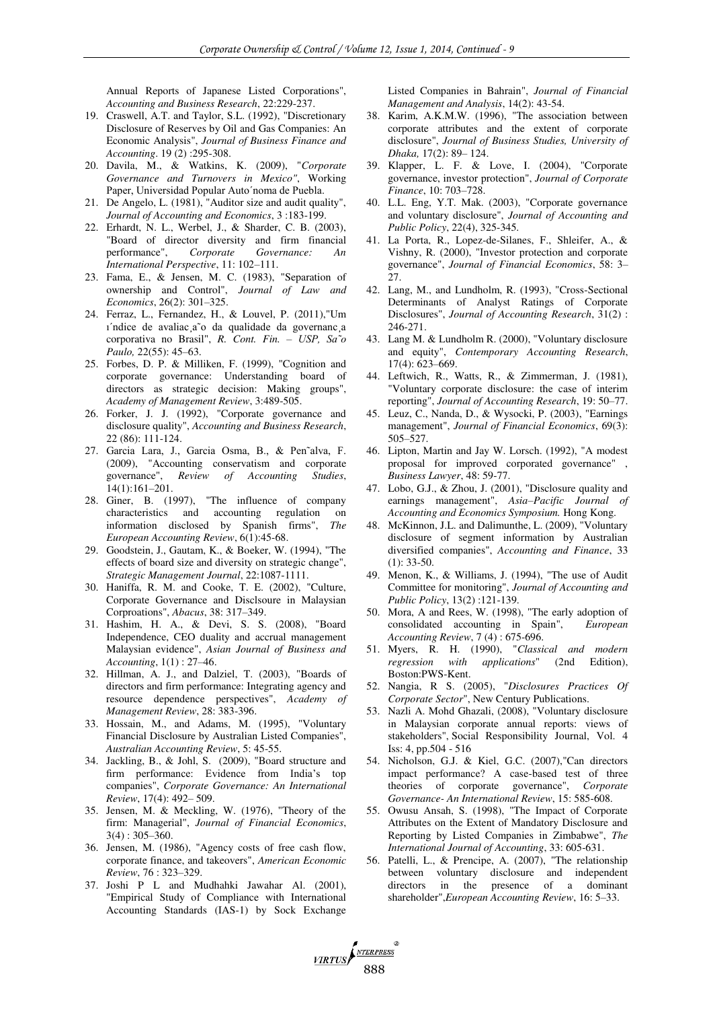Annual Reports of Japanese Listed Corporations", *Accounting and Business Research*, 22:229-237.

- 19. Craswell, A.T. and Taylor, S.L. (1992), "Discretionary Disclosure of Reserves by Oil and Gas Companies: An Economic Analysis", *Journal of Business Finance and Accounting*. 19 (2) :295-308.
- 20. Davila, M., & Watkins, K. (2009), "*Corporate Governance and Turnovers in Mexico"*, Working Paper, Universidad Popular Auto´noma de Puebla.
- 21. De Angelo, L. (1981), "Auditor size and audit quality", *Journal of Accounting and Economics*, 3 :183-199.
- 22. Erhardt, N. L., Werbel, J., & Sharder, C. B. (2003), "Board of director diversity and firm financial performance", *Corporate Governance: An International Perspective*, 11: 102–111.
- 23. Fama, E., & Jensen, M. C. (1983), "Separation of ownership and Control", *Journal of Law and Economics*, 26(2): 301–325.
- 24. Ferraz, L., Fernandez, H., & Louvel, P. (2011),"Um ı´ndice de avaliac¸a˜o da qualidade da governanc¸a corporativa no Brasil", *R. Cont. Fin. – USP, Sa˜o Paulo,* 22(55): 45–63.
- 25. Forbes, D. P. & Milliken, F. (1999), "Cognition and corporate governance: Understanding board of directors as strategic decision: Making groups", *Academy of Management Review*, 3:489-505.
- 26. Forker, J. J. (1992), "Corporate governance and disclosure quality", *Accounting and Business Research*, 22 (86): 111-124.
- 27. Garcia Lara, J., Garcia Osma, B., & Pen˜alva, F. (2009), "Accounting conservatism and corporate governance", *Review of Accounting Studies*, 14(1):161–201.
- 28. Giner, B. (1997), "The influence of company characteristics and accounting regulation on information disclosed by Spanish firms", *The European Accounting Review*, 6(1):45-68.
- 29. Goodstein, J., Gautam, K., & Boeker, W. (1994), "The effects of board size and diversity on strategic change", *Strategic Management Journal*, 22:1087-1111.
- 30. Haniffa, R. M. and Cooke, T. E. (2002), "Culture, Corporate Governance and Disclsoure in Malaysian Corproations", *Abacus*, 38: 317–349.
- 31. Hashim, H. A., & Devi, S. S. (2008), "Board Independence, CEO duality and accrual management Malaysian evidence", *Asian Journal of Business and Accounting*, 1(1) : 27–46.
- 32. Hillman, A. J., and Dalziel, T. (2003), "Boards of directors and firm performance: Integrating agency and resource dependence perspectives", *Academy of Management Review*, 28: 383-396.
- 33. Hossain, M., and Adams, M. (1995), "Voluntary Financial Disclosure by Australian Listed Companies", *Australian Accounting Review*, 5: 45-55.
- 34. Jackling, B., & Johl, S. (2009), "Board structure and firm performance: Evidence from India's top companies", *Corporate Governance: An International Review*, 17(4): 492– 509.
- 35. Jensen, M. & Meckling, W. (1976), "Theory of the firm: Managerial", *Journal of Financial Economics*, 3(4) : 305–360.
- 36. Jensen, M. (1986), "Agency costs of free cash flow, corporate finance, and takeovers", *American Economic Review*, 76 : 323–329.
- 37. Joshi P L and Mudhahki Jawahar Al. (2001), "Empirical Study of Compliance with International Accounting Standards (IAS-1) by Sock Exchange

Listed Companies in Bahrain", *Journal of Financial Management and Analysis*, 14(2): 43-54.

- 38. Karim, A.K.M.W. (1996), "The association between corporate attributes and the extent of corporate disclosure", *Journal of Business Studies, University of Dhaka,* 17(2): 89– 124.
- 39. Klapper, L. F. & Love, I. (2004), "Corporate governance, investor protection", *Journal of Corporate Finance*, 10: 703–728.
- 40. L.L. Eng, Y.T. Mak. (2003), "Corporate governance and voluntary disclosure", *Journal of Accounting and Public Policy*, 22(4), 325-345.
- 41. La Porta, R., Lopez-de-Silanes, F., Shleifer, A., & Vishny, R. (2000), "Investor protection and corporate governance", *Journal of Financial Economics*, 58: 3– 27.
- 42. Lang, M., and Lundholm, R. (1993), "Cross-Sectional Determinants of Analyst Ratings of Corporate Disclosures", *Journal of Accounting Research*, 31(2) : 246-271.
- 43. Lang M. & Lundholm R. (2000), "Voluntary disclosure and equity", *Contemporary Accounting Research*, 17(4): 623–669.
- 44. Leftwich, R., Watts, R., & Zimmerman, J. (1981), "Voluntary corporate disclosure: the case of interim reporting", *Journal of Accounting Research*, 19: 50–77.
- 45. Leuz, C., Nanda, D., & Wysocki, P. (2003), "Earnings management", *Journal of Financial Economics*, 69(3): 505–527.
- 46. Lipton, Martin and Jay W. Lorsch. (1992), "A modest proposal for improved corporated governance" , *Business Lawyer*, 48: 59-77.
- 47. Lobo, G.J., & Zhou, J. (2001), "Disclosure quality and earnings management", *Asia–Pacific Journal of Accounting and Economics Symposium.* Hong Kong.
- 48. McKinnon, J.L. and Dalimunthe, L. (2009), "Voluntary disclosure of segment information by Australian diversified companies", *Accounting and Finance*, 33  $(1): 33-50.$
- 49. Menon, K., & Williams, J. (1994), "The use of Audit Committee for monitoring", *Journal of Accounting and Public Policy*, 13(2) :121-139.
- 50. Mora, A and Rees, W. (1998), "The early adoption of consolidated accounting in Spain", *European Accounting Review*, 7 (4) : 675-696.
- 51. Myers, R. H. (1990), "*Classical and modern regression with applications*" (2nd Edition), Boston:PWS-Kent.
- 52. Nangia, R S. (2005), "*Disclosures Practices Of Corporate Sector*", New Century Publications.
- 53. Nazli A. Mohd Ghazali, (2008), "Voluntary disclosure in Malaysian corporate annual reports: views of stakeholders", Social Responsibility Journal, Vol. 4 Iss: 4, pp.504 - 516
- 54. Nicholson, G.J. & Kiel, G.C. (2007),"Can directors impact performance? A case-based test of three theories of corporate governance", *Corporate Governance- An International Review*, 15: 585-608.
- 55. Owusu Ansah, S. (1998), "The Impact of Corporate Attributes on the Extent of Mandatory Disclosure and Reporting by Listed Companies in Zimbabwe", *The International Journal of Accounting*, 33: 605-631.
- 56. Patelli, L., & Prencipe, A. (2007), "The relationship between voluntary disclosure and independent directors in the presence of a dominant shareholder",*European Accounting Review*, 16: 5–33.

VIRTUS 888